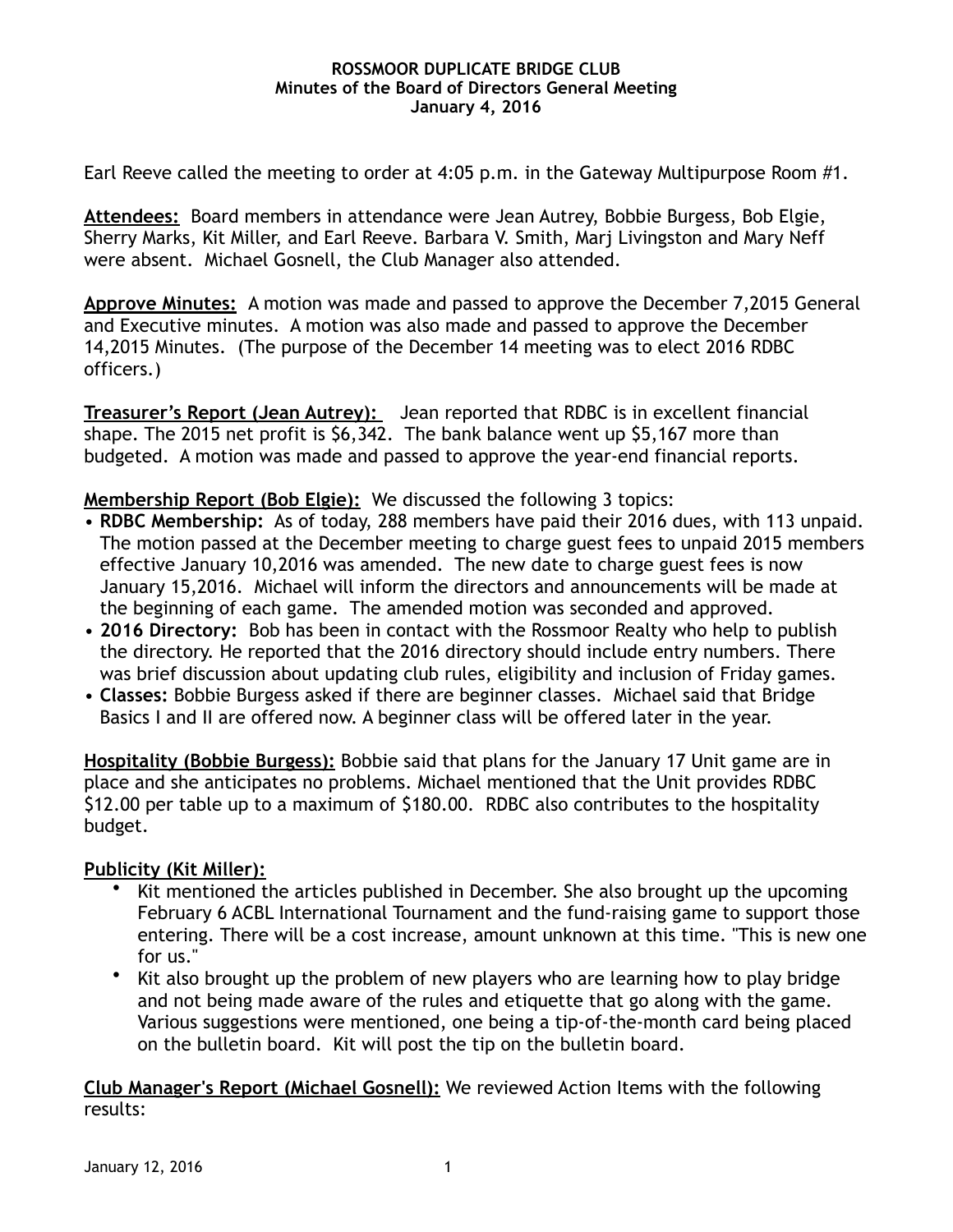## **ROSSMOOR DUPLICATE BRIDGE CLUB Minutes of the Board of Directors General Meeting January 4, 2016**

Earl Reeve called the meeting to order at 4:05 p.m. in the Gateway Multipurpose Room #1.

**Attendees:** Board members in attendance were Jean Autrey, Bobbie Burgess, Bob Elgie, Sherry Marks, Kit Miller, and Earl Reeve. Barbara V. Smith, Marj Livingston and Mary Neff were absent. Michael Gosnell, the Club Manager also attended.

**Approve Minutes:** A motion was made and passed to approve the December 7,2015 General and Executive minutes. A motion was also made and passed to approve the December 14,2015 Minutes. (The purpose of the December 14 meeting was to elect 2016 RDBC officers.)

**Treasurer's Report (Jean Autrey):** Jean reported that RDBC is in excellent financial shape. The 2015 net profit is \$6,342. The bank balance went up \$5,167 more than budgeted. A motion was made and passed to approve the year-end financial reports.

**Membership Report (Bob Elgie):** We discussed the following 3 topics:

- **RDBC Membership:** As of today, 288 members have paid their 2016 dues, with 113 unpaid. The motion passed at the December meeting to charge guest fees to unpaid 2015 members effective January 10,2016 was amended. The new date to charge guest fees is now January 15,2016. Michael will inform the directors and announcements will be made at the beginning of each game. The amended motion was seconded and approved.
- **2016 Directory:** Bob has been in contact with the Rossmoor Realty who help to publish the directory. He reported that the 2016 directory should include entry numbers. There was brief discussion about updating club rules, eligibility and inclusion of Friday games.
- **Classes:** Bobbie Burgess asked if there are beginner classes. Michael said that Bridge Basics I and II are offered now. A beginner class will be offered later in the year.

**Hospitality (Bobbie Burgess):** Bobbie said that plans for the January 17 Unit game are in place and she anticipates no problems. Michael mentioned that the Unit provides RDBC \$12.00 per table up to a maximum of \$180.00. RDBC also contributes to the hospitality budget.

## **Publicity (Kit Miller):**

- Kit mentioned the articles published in December. She also brought up the upcoming February 6 ACBL International Tournament and the fund-raising game to support those entering. There will be a cost increase, amount unknown at this time. "This is new one for us."
- Kit also brought up the problem of new players who are learning how to play bridge and not being made aware of the rules and etiquette that go along with the game. Various suggestions were mentioned, one being a tip-of-the-month card being placed on the bulletin board. Kit will post the tip on the bulletin board.

**Club Manager's Report (Michael Gosnell):** We reviewed Action Items with the following results: